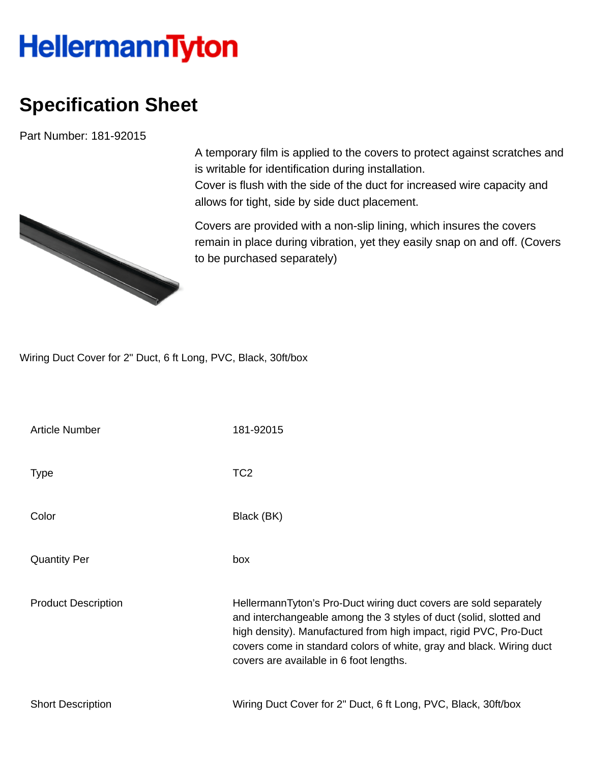## **HellermannTyton**

## **Specification Sheet**

Part Number: 181-92015

A temporary film is applied to the covers to protect against scratches and is writable for identification during installation.

Cover is flush with the side of the duct for increased wire capacity and allows for tight, side by side duct placement.

Covers are provided with a non-slip lining, which insures the covers remain in place during vibration, yet they easily snap on and off. (Covers to be purchased separately)

Wiring Duct Cover for 2" Duct, 6 ft Long, PVC, Black, 30ft/box

| Article Number             | 181-92015                                                                                                                                                                                                                                                                                                                       |
|----------------------------|---------------------------------------------------------------------------------------------------------------------------------------------------------------------------------------------------------------------------------------------------------------------------------------------------------------------------------|
| <b>Type</b>                | TC <sub>2</sub>                                                                                                                                                                                                                                                                                                                 |
| Color                      | Black (BK)                                                                                                                                                                                                                                                                                                                      |
| <b>Quantity Per</b>        | box                                                                                                                                                                                                                                                                                                                             |
| <b>Product Description</b> | HellermannTyton's Pro-Duct wiring duct covers are sold separately<br>and interchangeable among the 3 styles of duct (solid, slotted and<br>high density). Manufactured from high impact, rigid PVC, Pro-Duct<br>covers come in standard colors of white, gray and black. Wiring duct<br>covers are available in 6 foot lengths. |
| <b>Short Description</b>   | Wiring Duct Cover for 2" Duct, 6 ft Long, PVC, Black, 30ft/box                                                                                                                                                                                                                                                                  |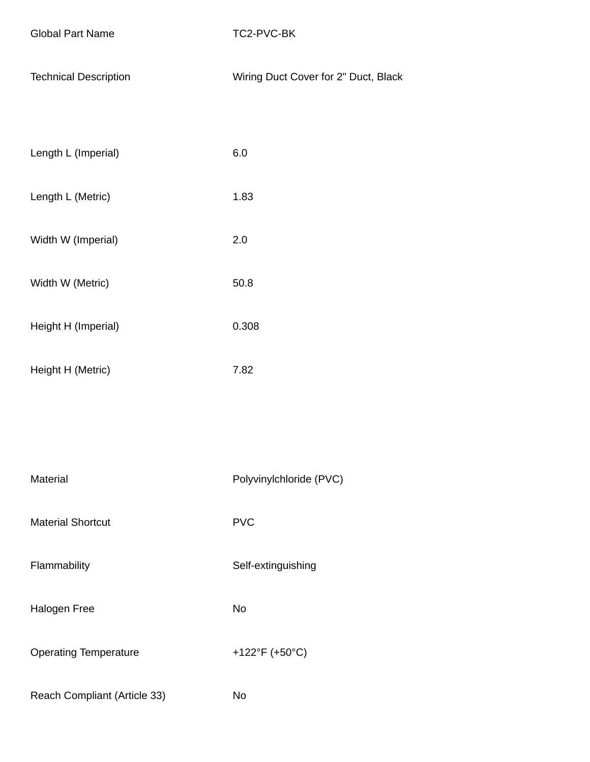| <b>Global Part Name</b> |  |  |
|-------------------------|--|--|
|-------------------------|--|--|

TC2-PVC-BK

|  | <b>Technical Description</b> | Wiring Duct Cover for 2" Duct, Black |
|--|------------------------------|--------------------------------------|
|--|------------------------------|--------------------------------------|

| Length L (Imperial) | 6.0  |
|---------------------|------|
| Length L (Metric)   | 1.83 |

Width W (Imperial) 2.0

- Width W (Metric) 50.8
- Height H (Imperial) 0.308
- Height H (Metric) 7.82

Material Material Polyvinylchloride (PVC)

Material Shortcut **PVC** 

Flammability **Self-extinguishing** 

Halogen Free No

Operating Temperature +122°F (+50°C)

Reach Compliant (Article 33) No